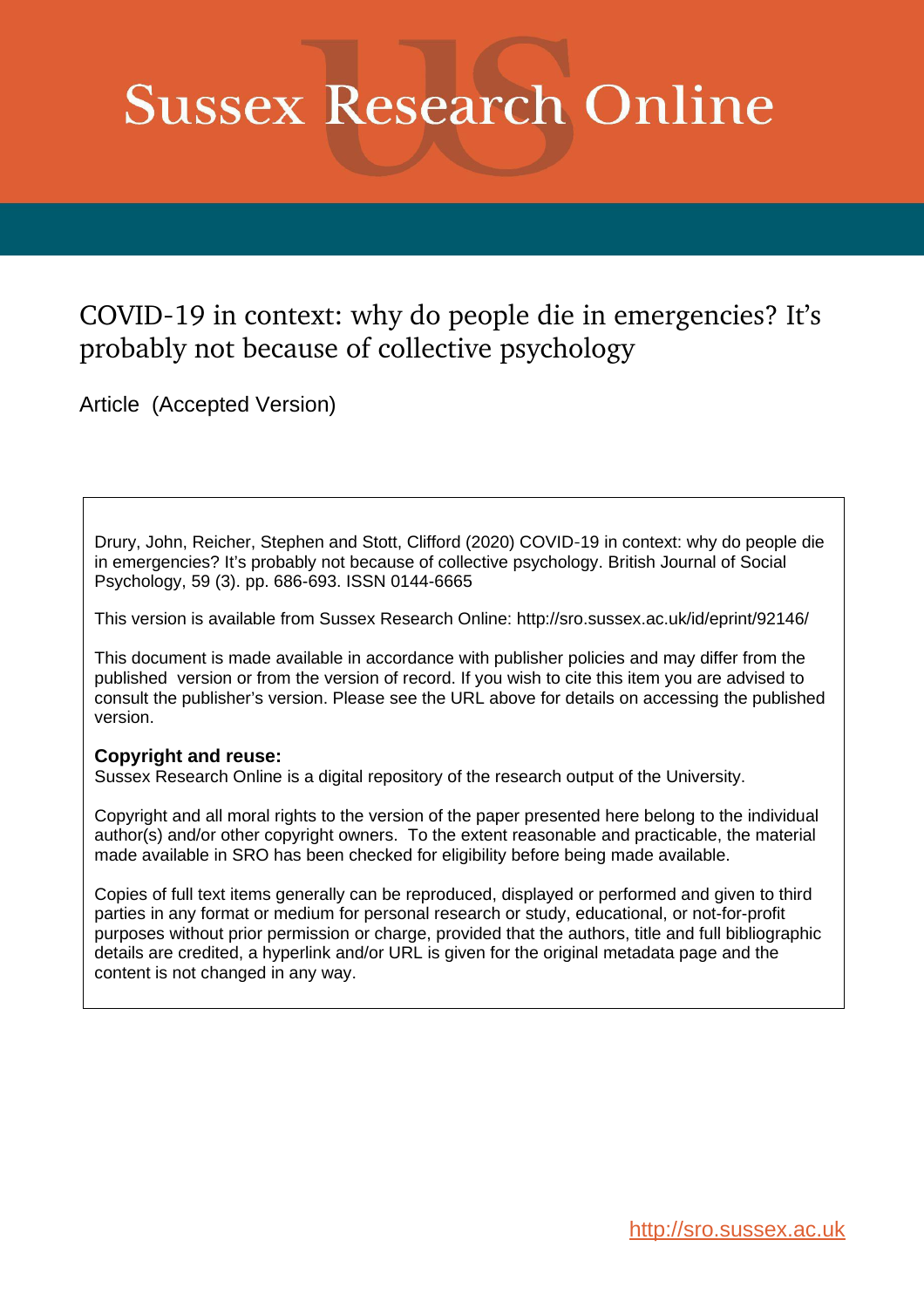# **Sussex Research Online**

# COVID-19 in context: why do people die in emergencies? It's probably not because of collective psychology

Article (Accepted Version)

Drury, John, Reicher, Stephen and Stott, Clifford (2020) COVID-19 in context: why do people die in emergencies? It's probably not because of collective psychology. British Journal of Social Psychology, 59 (3). pp. 686-693. ISSN 0144-6665

This version is available from Sussex Research Online: http://sro.sussex.ac.uk/id/eprint/92146/

This document is made available in accordance with publisher policies and may differ from the published version or from the version of record. If you wish to cite this item you are advised to consult the publisher's version. Please see the URL above for details on accessing the published version.

### **Copyright and reuse:**

Sussex Research Online is a digital repository of the research output of the University.

Copyright and all moral rights to the version of the paper presented here belong to the individual author(s) and/or other copyright owners. To the extent reasonable and practicable, the material made available in SRO has been checked for eligibility before being made available.

Copies of full text items generally can be reproduced, displayed or performed and given to third parties in any format or medium for personal research or study, educational, or not-for-profit purposes without prior permission or charge, provided that the authors, title and full bibliographic details are credited, a hyperlink and/or URL is given for the original metadata page and the content is not changed in any way.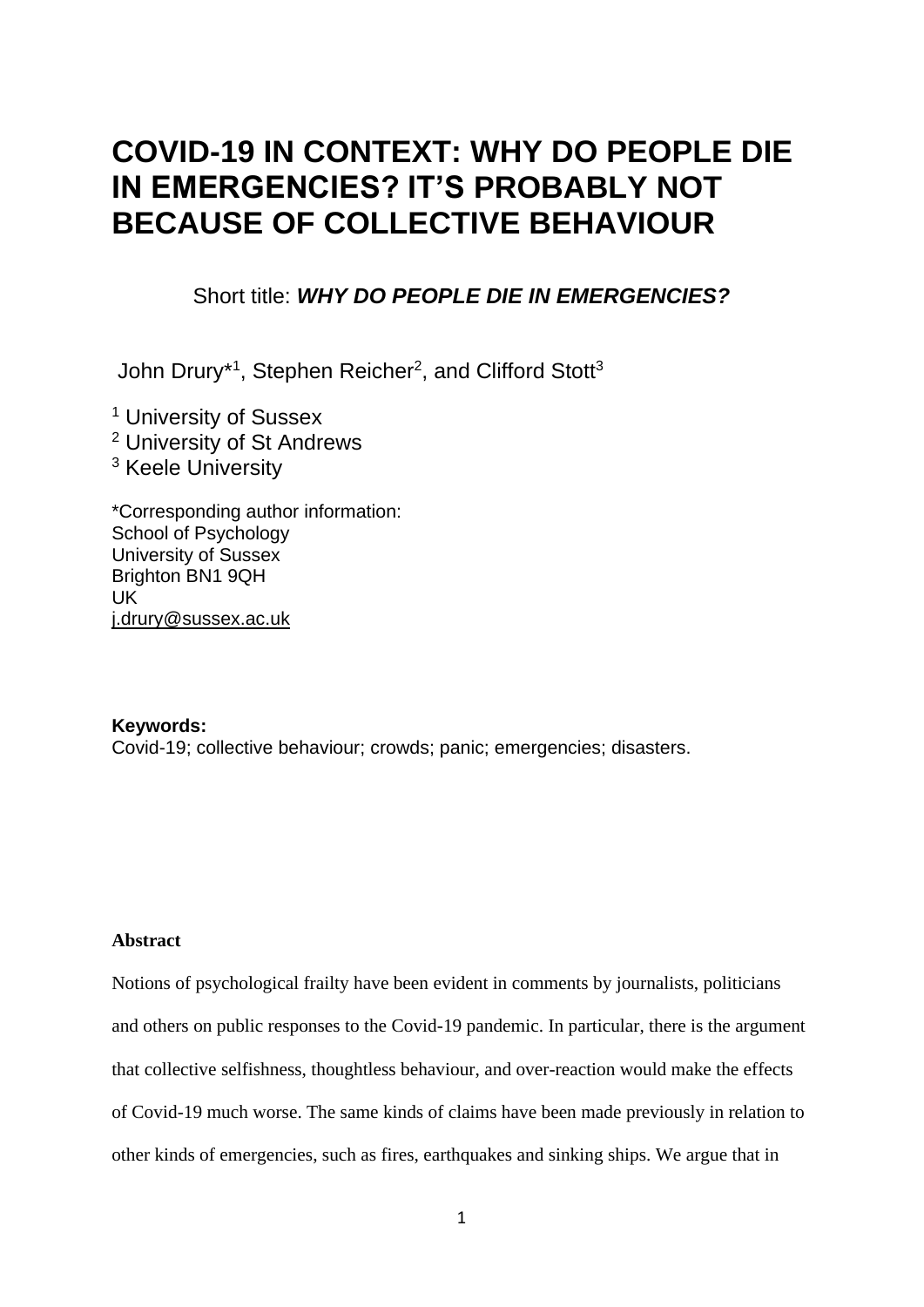# **COVID-19 IN CONTEXT: WHY DO PEOPLE DIE IN EMERGENCIES? IT'S PROBABLY NOT BECAUSE OF COLLECTIVE BEHAVIOUR**

# Short title: *WHY DO PEOPLE DIE IN EMERGENCIES?*

John Drury\*<sup>1</sup>, Stephen Reicher<sup>2</sup>, and Clifford Stott<sup>3</sup>

<sup>1</sup> University of Sussex <sup>2</sup> University of St Andrews <sup>3</sup> Keele University

\*Corresponding author information: School of Psychology University of Sussex Brighton BN1 9QH UK [j.drury@sussex.ac.uk](mailto:j.drury@sussex.ac.uk)

### **Keywords:**

Covid-19; collective behaviour; crowds; panic; emergencies; disasters.

#### **Abstract**

Notions of psychological frailty have been evident in comments by journalists, politicians and others on public responses to the Covid-19 pandemic. In particular, there is the argument that collective selfishness, thoughtless behaviour, and over-reaction would make the effects of Covid-19 much worse. The same kinds of claims have been made previously in relation to other kinds of emergencies, such as fires, earthquakes and sinking ships. We argue that in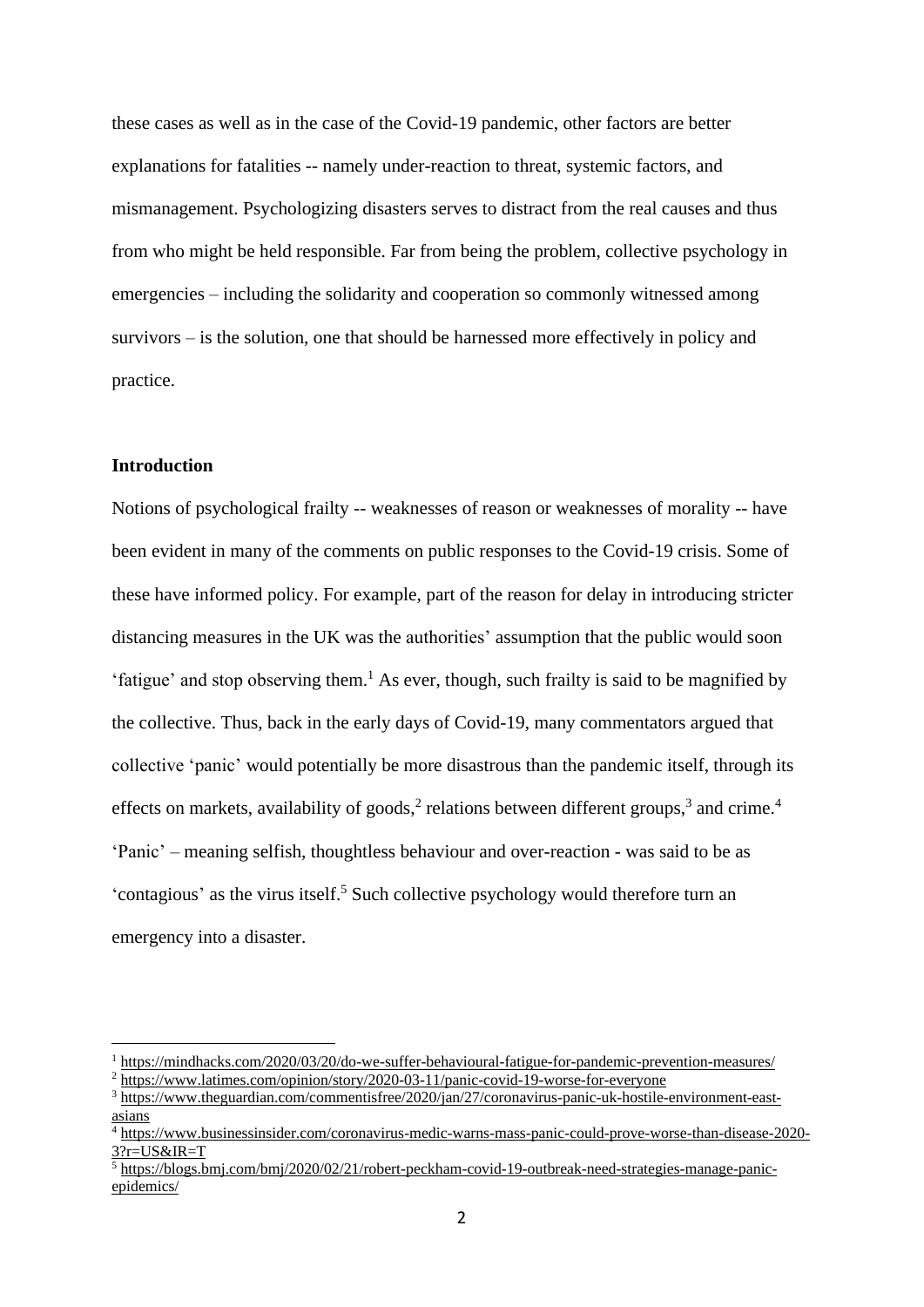these cases as well as in the case of the Covid-19 pandemic, other factors are better explanations for fatalities -- namely under-reaction to threat, systemic factors, and mismanagement. Psychologizing disasters serves to distract from the real causes and thus from who might be held responsible. Far from being the problem, collective psychology in emergencies – including the solidarity and cooperation so commonly witnessed among survivors – is the solution, one that should be harnessed more effectively in policy and practice.

## **Introduction**

Notions of psychological frailty -- weaknesses of reason or weaknesses of morality -- have been evident in many of the comments on public responses to the Covid-19 crisis. Some of these have informed policy. For example, part of the reason for delay in introducing stricter distancing measures in the UK was the authorities' assumption that the public would soon 'fatigue' and stop observing them.<sup>1</sup> As ever, though, such frailty is said to be magnified by the collective. Thus, back in the early days of Covid-19, many commentators argued that collective 'panic' would potentially be more disastrous than the pandemic itself, through its effects on markets, availability of goods,<sup>2</sup> relations between different groups,<sup>3</sup> and crime.<sup>4</sup> 'Panic' – meaning selfish, thoughtless behaviour and over-reaction - was said to be as 'contagious' as the virus itself.<sup>5</sup> Such collective psychology would therefore turn an emergency into a disaster.

<sup>1</sup> <https://mindhacks.com/2020/03/20/do-we-suffer-behavioural-fatigue-for-pandemic-prevention-measures/>

<sup>&</sup>lt;sup>2</sup> <https://www.latimes.com/opinion/story/2020-03-11/panic-covid-19-worse-for-everyone>

<sup>3</sup> [https://www.theguardian.com/commentisfree/2020/jan/27/coronavirus-panic-uk-hostile-environment-east](https://www.theguardian.com/commentisfree/2020/jan/27/coronavirus-panic-uk-hostile-environment-east-asians)[asians](https://www.theguardian.com/commentisfree/2020/jan/27/coronavirus-panic-uk-hostile-environment-east-asians)

<sup>4</sup> [https://www.businessinsider.com/coronavirus-medic-warns-mass-panic-could-prove-worse-than-disease-2020-](https://www.businessinsider.com/coronavirus-medic-warns-mass-panic-could-prove-worse-than-disease-2020-3?r=US&IR=T)  $3?r = US&IR = T$ 

 $\frac{1}{5}$  [https://blogs.bmj.com/bmj/2020/02/21/robert-peckham-covid-19-outbreak-need-strategies-manage-panic](https://blogs.bmj.com/bmj/2020/02/21/robert-peckham-covid-19-outbreak-need-strategies-manage-panic-epidemics/)[epidemics/](https://blogs.bmj.com/bmj/2020/02/21/robert-peckham-covid-19-outbreak-need-strategies-manage-panic-epidemics/)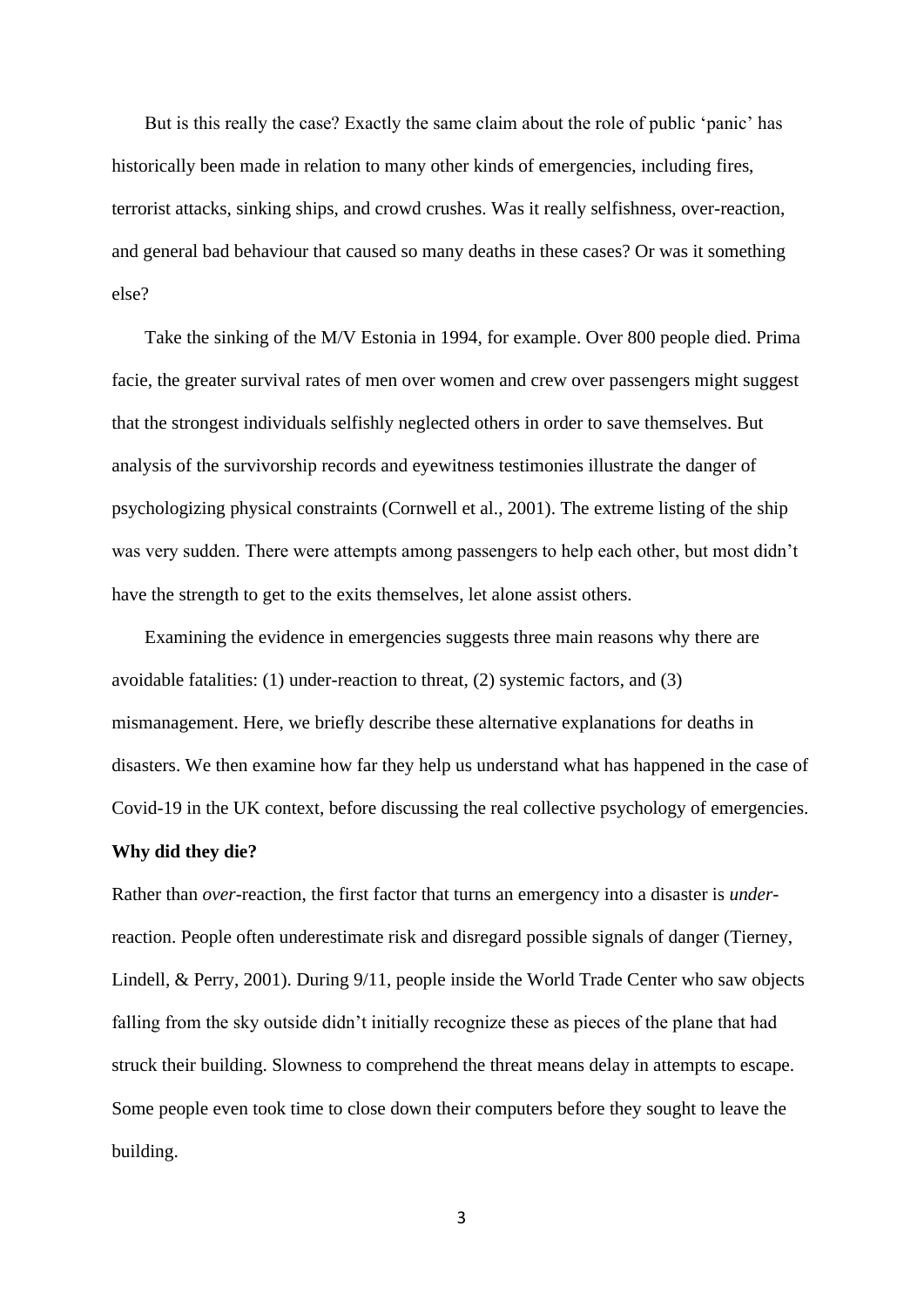But is this really the case? Exactly the same claim about the role of public 'panic' has historically been made in relation to many other kinds of emergencies, including fires, terrorist attacks, sinking ships, and crowd crushes. Was it really selfishness, over-reaction, and general bad behaviour that caused so many deaths in these cases? Or was it something else?

Take the sinking of the M/V Estonia in 1994, for example. Over 800 people died. Prima facie, the greater survival rates of men over women and crew over passengers might suggest that the strongest individuals selfishly neglected others in order to save themselves. But analysis of the survivorship records and eyewitness testimonies illustrate the danger of psychologizing physical constraints (Cornwell et al., 2001). The extreme listing of the ship was very sudden. There were attempts among passengers to help each other, but most didn't have the strength to get to the exits themselves, let alone assist others.

Examining the evidence in emergencies suggests three main reasons why there are avoidable fatalities: (1) under-reaction to threat, (2) systemic factors, and (3) mismanagement. Here, we briefly describe these alternative explanations for deaths in disasters. We then examine how far they help us understand what has happened in the case of Covid-19 in the UK context, before discussing the real collective psychology of emergencies.

#### **Why did they die?**

Rather than *over-*reaction, the first factor that turns an emergency into a disaster is *under*reaction. People often underestimate risk and disregard possible signals of danger (Tierney, Lindell, & Perry, 2001). During 9/11, people inside the World Trade Center who saw objects falling from the sky outside didn't initially recognize these as pieces of the plane that had struck their building. Slowness to comprehend the threat means delay in attempts to escape. Some people even took time to close down their computers before they sought to leave the building.

3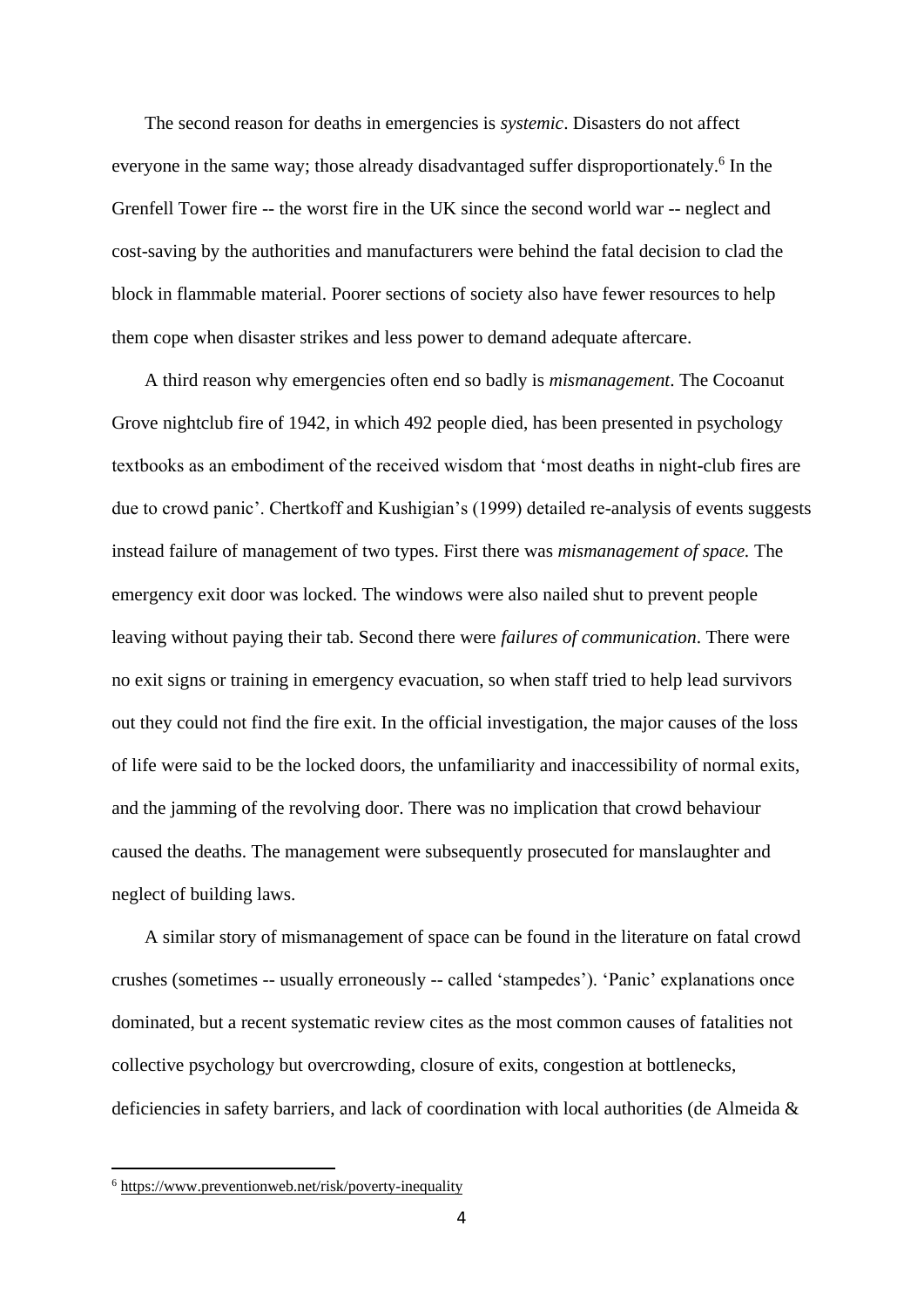The second reason for deaths in emergencies is *systemic*. Disasters do not affect everyone in the same way; those already disadvantaged suffer disproportionately.<sup>6</sup> In the Grenfell Tower fire -- the worst fire in the UK since the second world war -- neglect and cost-saving by the authorities and manufacturers were behind the fatal decision to clad the block in flammable material. Poorer sections of society also have fewer resources to help them cope when disaster strikes and less power to demand adequate aftercare.

A third reason why emergencies often end so badly is *mismanagement*. The Cocoanut Grove nightclub fire of 1942, in which 492 people died, has been presented in psychology textbooks as an embodiment of the received wisdom that 'most deaths in night-club fires are due to crowd panic'. Chertkoff and Kushigian's (1999) detailed re-analysis of events suggests instead failure of management of two types. First there was *mismanagement of space.* The emergency exit door was locked. The windows were also nailed shut to prevent people leaving without paying their tab. Second there were *failures of communication*. There were no exit signs or training in emergency evacuation, so when staff tried to help lead survivors out they could not find the fire exit. In the official investigation, the major causes of the loss of life were said to be the locked doors, the unfamiliarity and inaccessibility of normal exits, and the jamming of the revolving door. There was no implication that crowd behaviour caused the deaths. The management were subsequently prosecuted for manslaughter and neglect of building laws.

A similar story of mismanagement of space can be found in the literature on fatal crowd crushes (sometimes -- usually erroneously -- called 'stampedes'). 'Panic' explanations once dominated, but a recent systematic review cites as the most common causes of fatalities not collective psychology but overcrowding, closure of exits, congestion at bottlenecks, deficiencies in safety barriers, and lack of coordination with local authorities (de Almeida &

<sup>6</sup> <https://www.preventionweb.net/risk/poverty-inequality>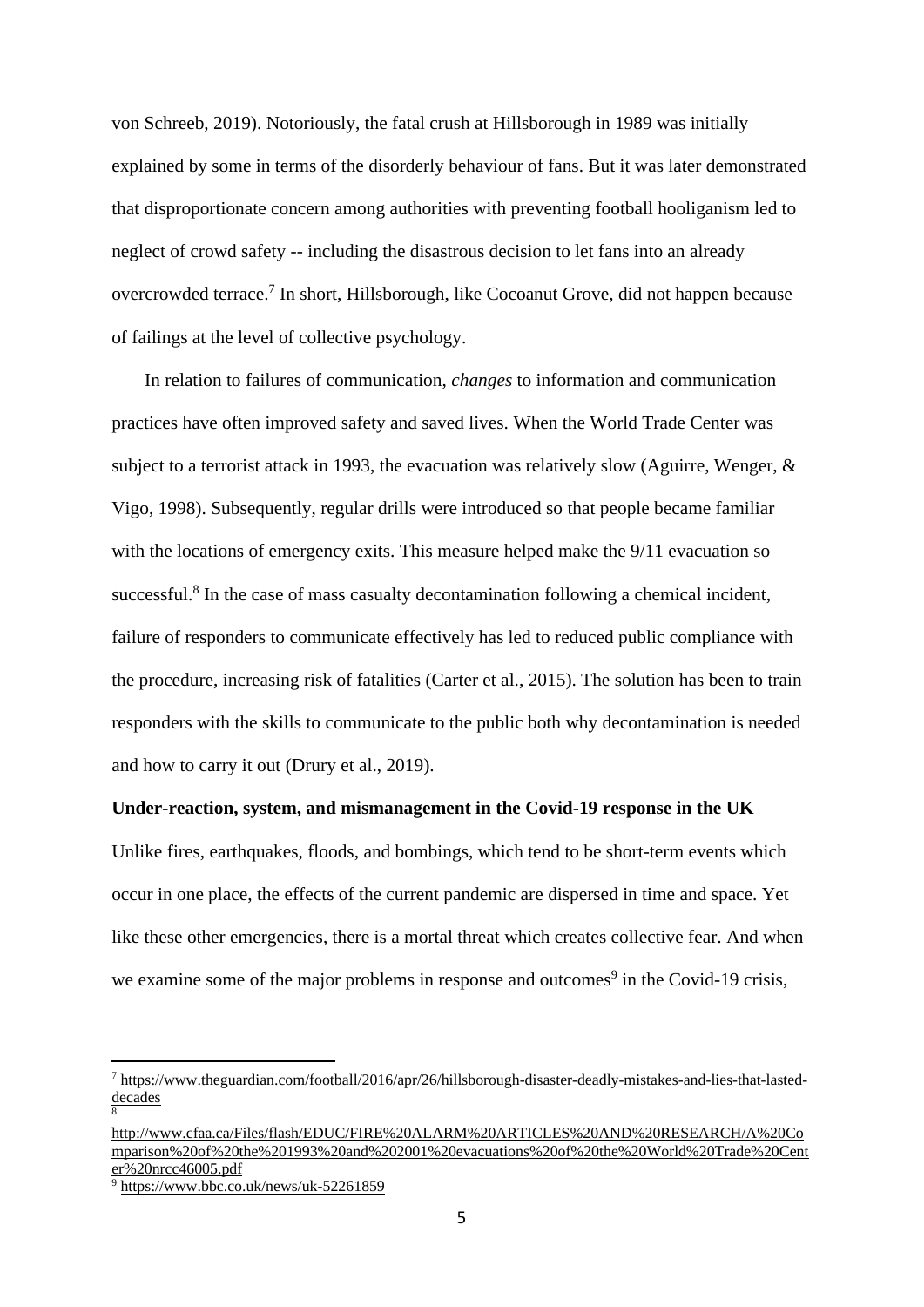von Schreeb, 2019). Notoriously, the fatal crush at Hillsborough in 1989 was initially explained by some in terms of the disorderly behaviour of fans. But it was later demonstrated that disproportionate concern among authorities with preventing football hooliganism led to neglect of crowd safety -- including the disastrous decision to let fans into an already overcrowded terrace.<sup>7</sup> In short, Hillsborough, like Cocoanut Grove, did not happen because of failings at the level of collective psychology.

In relation to failures of communication, *changes* to information and communication practices have often improved safety and saved lives. When the World Trade Center was subject to a terrorist attack in 1993, the evacuation was relatively slow (Aguirre, Wenger, & Vigo, 1998). Subsequently, regular drills were introduced so that people became familiar with the locations of emergency exits. This measure helped make the 9/11 evacuation so successful.<sup>8</sup> In the case of mass casualty decontamination following a chemical incident, failure of responders to communicate effectively has led to reduced public compliance with the procedure, increasing risk of fatalities (Carter et al., 2015). The solution has been to train responders with the skills to communicate to the public both why decontamination is needed and how to carry it out (Drury et al., 2019).

## **Under-reaction, system, and mismanagement in the Covid-19 response in the UK**

Unlike fires, earthquakes, floods, and bombings, which tend to be short-term events which occur in one place, the effects of the current pandemic are dispersed in time and space. Yet like these other emergencies, there is a mortal threat which creates collective fear. And when we examine some of the major problems in response and outcomes<sup>9</sup> in the Covid-19 crisis,

8

<sup>7</sup> [https://www.theguardian.com/football/2016/apr/26/hillsborough-disaster-deadly-mistakes-and-lies-that-lasted](https://www.theguardian.com/football/2016/apr/26/hillsborough-disaster-deadly-mistakes-and-lies-that-lasted-decades)[decades](https://www.theguardian.com/football/2016/apr/26/hillsborough-disaster-deadly-mistakes-and-lies-that-lasted-decades)

[http://www.cfaa.ca/Files/flash/EDUC/FIRE%20ALARM%20ARTICLES%20AND%20RESEARCH/A%20Co](http://www.cfaa.ca/Files/flash/EDUC/FIRE%20ALARM%20ARTICLES%20AND%20RESEARCH/A%20Comparison%20of%20the%201993%20and%202001%20evacuations%20of%20the%20World%20Trade%20Center%20nrcc46005.pdf) [mparison%20of%20the%201993%20and%202001%20evacuations%20of%20the%20World%20Trade%20Cent](http://www.cfaa.ca/Files/flash/EDUC/FIRE%20ALARM%20ARTICLES%20AND%20RESEARCH/A%20Comparison%20of%20the%201993%20and%202001%20evacuations%20of%20the%20World%20Trade%20Center%20nrcc46005.pdf) [er%20nrcc46005.pdf](http://www.cfaa.ca/Files/flash/EDUC/FIRE%20ALARM%20ARTICLES%20AND%20RESEARCH/A%20Comparison%20of%20the%201993%20and%202001%20evacuations%20of%20the%20World%20Trade%20Center%20nrcc46005.pdf)

<sup>9</sup> <https://www.bbc.co.uk/news/uk-52261859>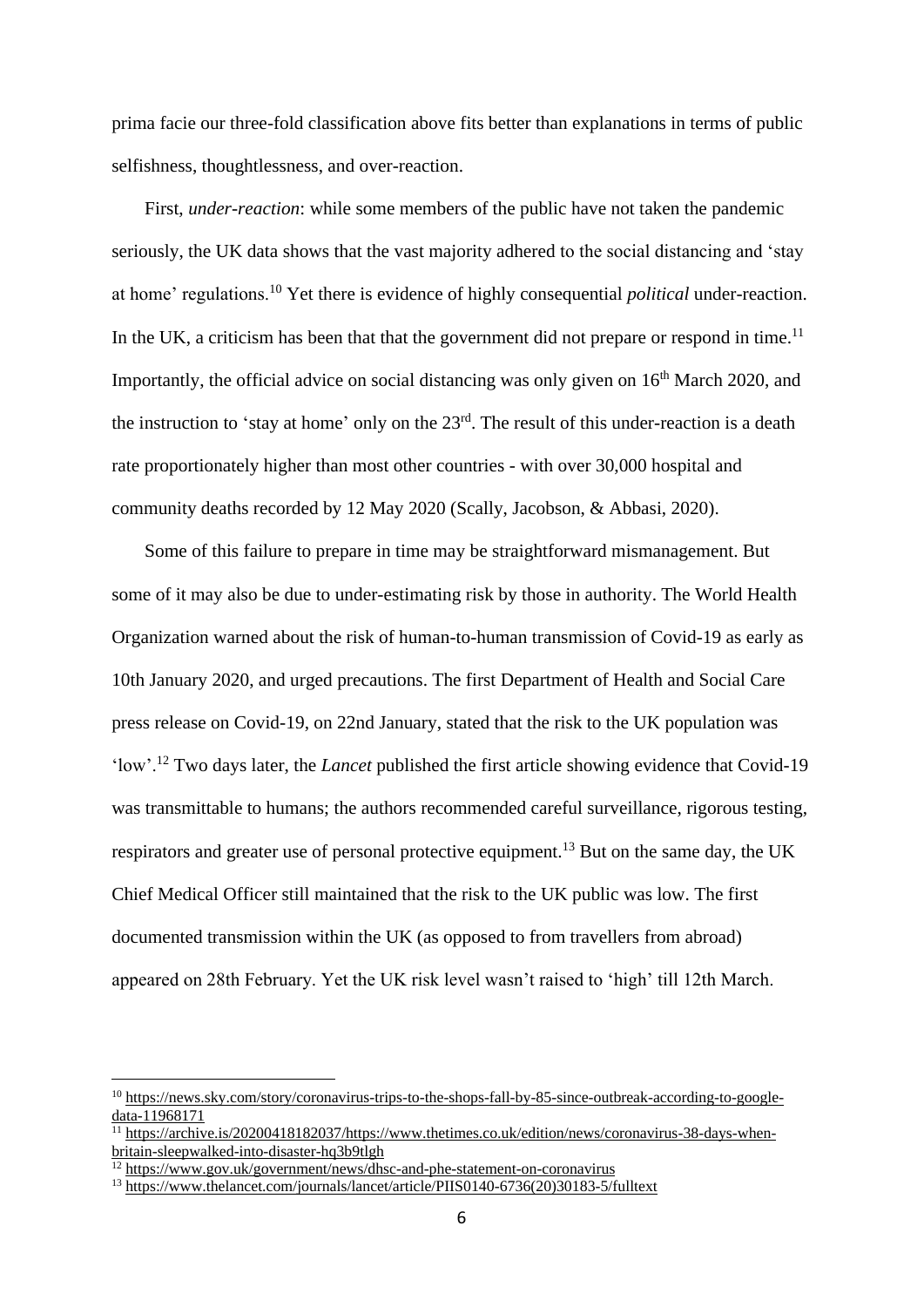prima facie our three-fold classification above fits better than explanations in terms of public selfishness, thoughtlessness, and over-reaction.

First, *under-reaction*: while some members of the public have not taken the pandemic seriously, the UK data shows that the vast majority adhered to the social distancing and 'stay at home' regulations.<sup>10</sup> Yet there is evidence of highly consequential *political* under-reaction. In the UK, a criticism has been that that the government did not prepare or respond in time.<sup>11</sup> Importantly, the official advice on social distancing was only given on  $16<sup>th</sup>$  March 2020, and the instruction to 'stay at home' only on the  $23<sup>rd</sup>$ . The result of this under-reaction is a death rate proportionately higher than most other countries - with over 30,000 hospital and community deaths recorded by 12 May 2020 (Scally, Jacobson, & Abbasi, 2020).

Some of this failure to prepare in time may be straightforward mismanagement. But some of it may also be due to under-estimating risk by those in authority. The World Health Organization warned about the risk of human-to-human transmission of Covid-19 as early as 10th January 2020, and urged precautions. The first Department of Health and Social Care press release on Covid-19, on 22nd January, stated that the risk to the UK population was 'low'.<sup>12</sup> Two days later, the *Lancet* published the first article showing evidence that Covid-19 was transmittable to humans; the authors recommended careful surveillance, rigorous testing, respirators and greater use of personal protective equipment.<sup>13</sup> But on the same day, the UK Chief Medical Officer still maintained that the risk to the UK public was low. The first documented transmission within the UK (as opposed to from travellers from abroad) appeared on 28th February. Yet the UK risk level wasn't raised to 'high' till 12th March.

<sup>10</sup> [https://news.sky.com/story/coronavirus-trips-to-the-shops-fall-by-85-since-outbreak-according-to-google](https://news.sky.com/story/coronavirus-trips-to-the-shops-fall-by-85-since-outbreak-according-to-google-data-11968171)[data-11968171](https://news.sky.com/story/coronavirus-trips-to-the-shops-fall-by-85-since-outbreak-according-to-google-data-11968171)

 $\frac{11}{11}$  [https://archive.is/20200418182037/https://www.thetimes.co.uk/edition/news/coronavirus-38-days-when](https://archive.is/20200418182037/https:/www.thetimes.co.uk/edition/news/coronavirus-38-days-when-britain-sleepwalked-into-disaster-hq3b9tlgh)[britain-sleepwalked-into-disaster-hq3b9tlgh](https://archive.is/20200418182037/https:/www.thetimes.co.uk/edition/news/coronavirus-38-days-when-britain-sleepwalked-into-disaster-hq3b9tlgh)

<sup>&</sup>lt;sup>12</sup> <https://www.gov.uk/government/news/dhsc-and-phe-statement-on-coronavirus>

<sup>13</sup> [https://www.thelancet.com/journals/lancet/article/PIIS0140-6736\(20\)30183-5/fulltext](https://www.thelancet.com/journals/lancet/article/PIIS0140-6736(20)30183-5/fulltext)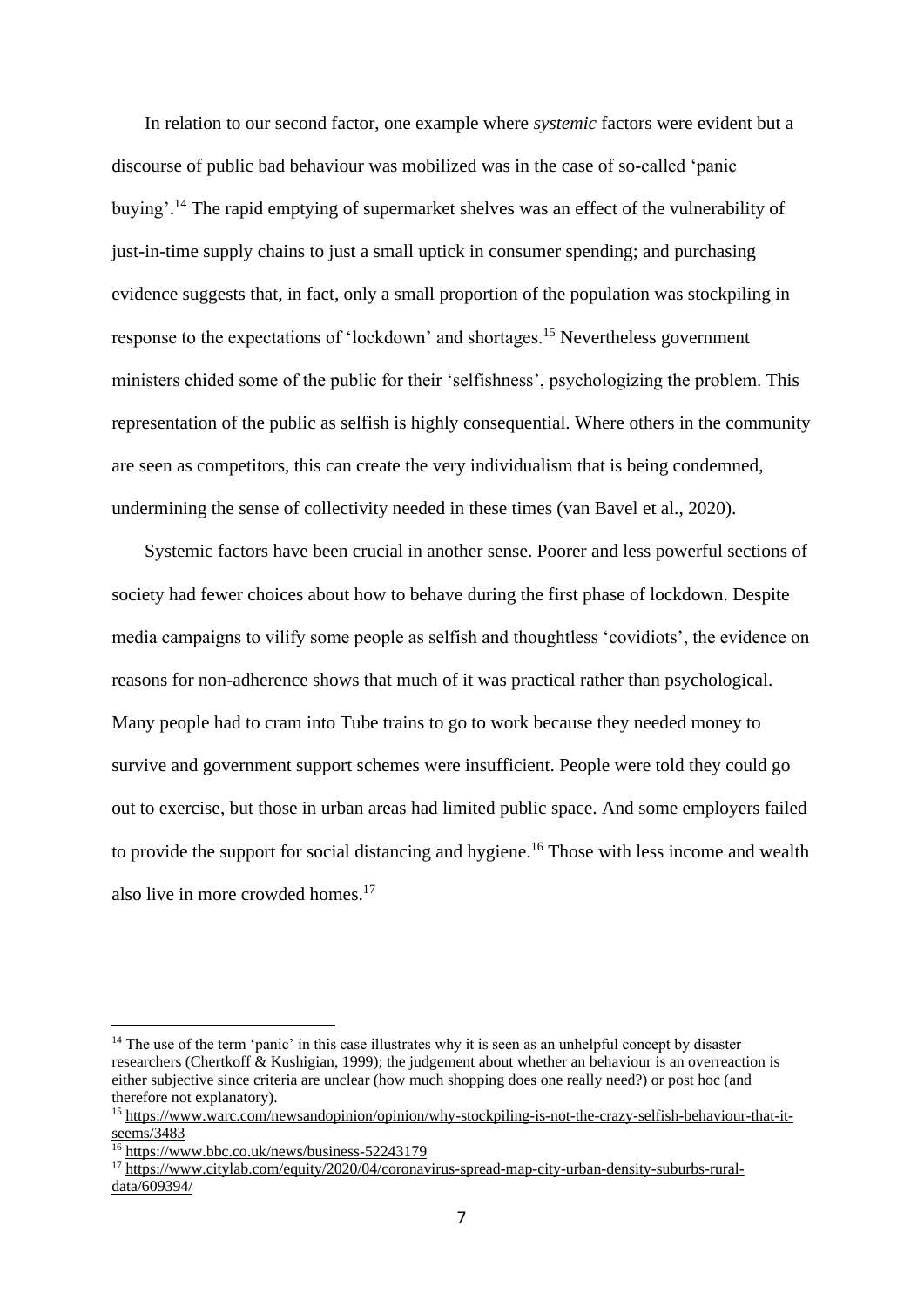In relation to our second factor, one example where *systemic* factors were evident but a discourse of public bad behaviour was mobilized was in the case of so-called 'panic buying'.<sup>14</sup> The rapid emptying of supermarket shelves was an effect of the vulnerability of just-in-time supply chains to just a small uptick in consumer spending; and purchasing evidence suggests that, in fact, only a small proportion of the population was stockpiling in response to the expectations of 'lockdown' and shortages.<sup>15</sup> Nevertheless government ministers chided some of the public for their 'selfishness', psychologizing the problem. This representation of the public as selfish is highly consequential. Where others in the community are seen as competitors, this can create the very individualism that is being condemned, undermining the sense of collectivity needed in these times (van Bavel et al., 2020).

Systemic factors have been crucial in another sense. Poorer and less powerful sections of society had fewer choices about how to behave during the first phase of lockdown. Despite media campaigns to vilify some people as selfish and thoughtless 'covidiots', the evidence on reasons for non-adherence shows that much of it was practical rather than psychological. Many people had to cram into Tube trains to go to work because they needed money to survive and government support schemes were insufficient. People were told they could go out to exercise, but those in urban areas had limited public space. And some employers failed to provide the support for social distancing and hygiene.<sup>16</sup> Those with less income and wealth also live in more crowded homes.<sup>17</sup>

<sup>&</sup>lt;sup>14</sup> The use of the term 'panic' in this case illustrates why it is seen as an unhelpful concept by disaster researchers (Chertkoff & Kushigian, 1999); the judgement about whether an behaviour is an overreaction is either subjective since criteria are unclear (how much shopping does one really need?) or post hoc (and therefore not explanatory).

<sup>15</sup> [https://www.warc.com/newsandopinion/opinion/why-stockpiling-is-not-the-crazy-selfish-behaviour-that-it](https://www.warc.com/newsandopinion/opinion/why-stockpiling-is-not-the-crazy-selfish-behaviour-that-it-seems/3483)[seems/3483](https://www.warc.com/newsandopinion/opinion/why-stockpiling-is-not-the-crazy-selfish-behaviour-that-it-seems/3483)

<sup>16</sup> <https://www.bbc.co.uk/news/business-52243179>

<sup>&</sup>lt;sup>17</sup> [https://www.citylab.com/equity/2020/04/coronavirus-spread-map-city-urban-density-suburbs-rural](https://www.citylab.com/equity/2020/04/coronavirus-spread-map-city-urban-density-suburbs-rural-data/609394/)[data/609394/](https://www.citylab.com/equity/2020/04/coronavirus-spread-map-city-urban-density-suburbs-rural-data/609394/)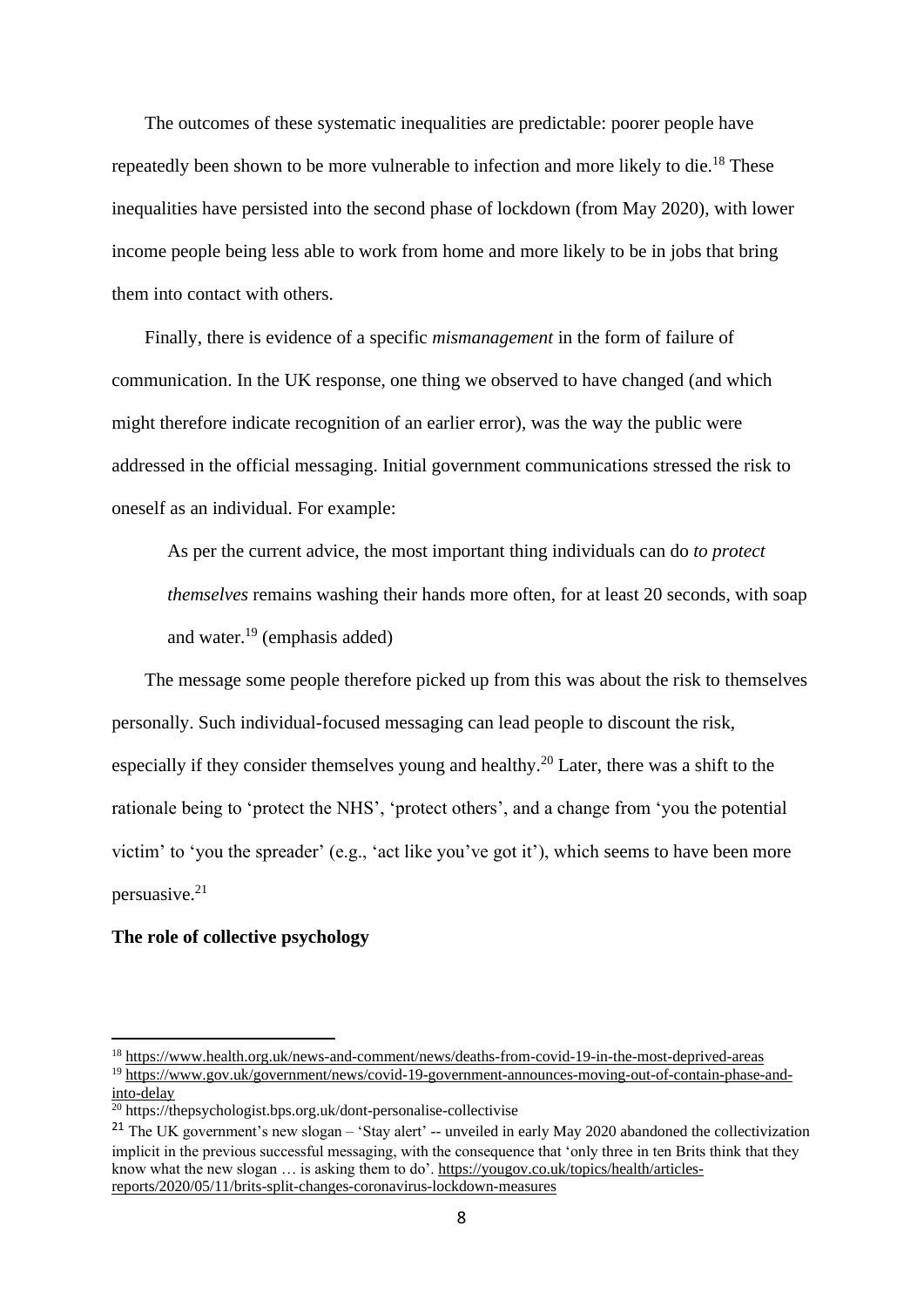The outcomes of these systematic inequalities are predictable: poorer people have repeatedly been shown to be more vulnerable to infection and more likely to die.<sup>18</sup> These inequalities have persisted into the second phase of lockdown (from May 2020), with lower income people being less able to work from home and more likely to be in jobs that bring them into contact with others.

Finally, there is evidence of a specific *mismanagement* in the form of failure of communication. In the UK response, one thing we observed to have changed (and which might therefore indicate recognition of an earlier error), was the way the public were addressed in the official messaging. Initial government communications stressed the risk to oneself as an individual. For example:

As per the current advice, the most important thing individuals can do *to protect themselves* remains washing their hands more often, for at least 20 seconds, with soap and water.<sup>19</sup> (emphasis added)

The message some people therefore picked up from this was about the risk to themselves personally. Such individual-focused messaging can lead people to discount the risk, especially if they consider themselves young and healthy.<sup>20</sup> Later, there was a shift to the rationale being to 'protect the NHS', 'protect others', and a change from 'you the potential victim' to 'you the spreader' (e.g., 'act like you've got it'), which seems to have been more persuasive. 21

#### **The role of collective psychology**

<sup>18</sup> <https://www.health.org.uk/news-and-comment/news/deaths-from-covid-19-in-the-most-deprived-areas>

<sup>19</sup> [https://www.gov.uk/government/news/covid-19-government-announces-moving-out-of-contain-phase-and](https://www.gov.uk/government/news/covid-19-government-announces-moving-out-of-contain-phase-and-into-delay)[into-delay](https://www.gov.uk/government/news/covid-19-government-announces-moving-out-of-contain-phase-and-into-delay)

<sup>20</sup> https://thepsychologist.bps.org.uk/dont-personalise-collectivise

<sup>&</sup>lt;sup>21</sup> The UK government's new slogan – 'Stay alert' -- unveiled in early May 2020 abandoned the collectivization implicit in the previous successful messaging, with the consequence that 'only three in ten Brits think that they know what the new slogan ... is asking them to do'. [https://yougov.co.uk/topics/health/articles](https://yougov.co.uk/topics/health/articles-reports/2020/05/11/brits-split-changes-coronavirus-lockdown-measures)[reports/2020/05/11/brits-split-changes-coronavirus-lockdown-measures](https://yougov.co.uk/topics/health/articles-reports/2020/05/11/brits-split-changes-coronavirus-lockdown-measures)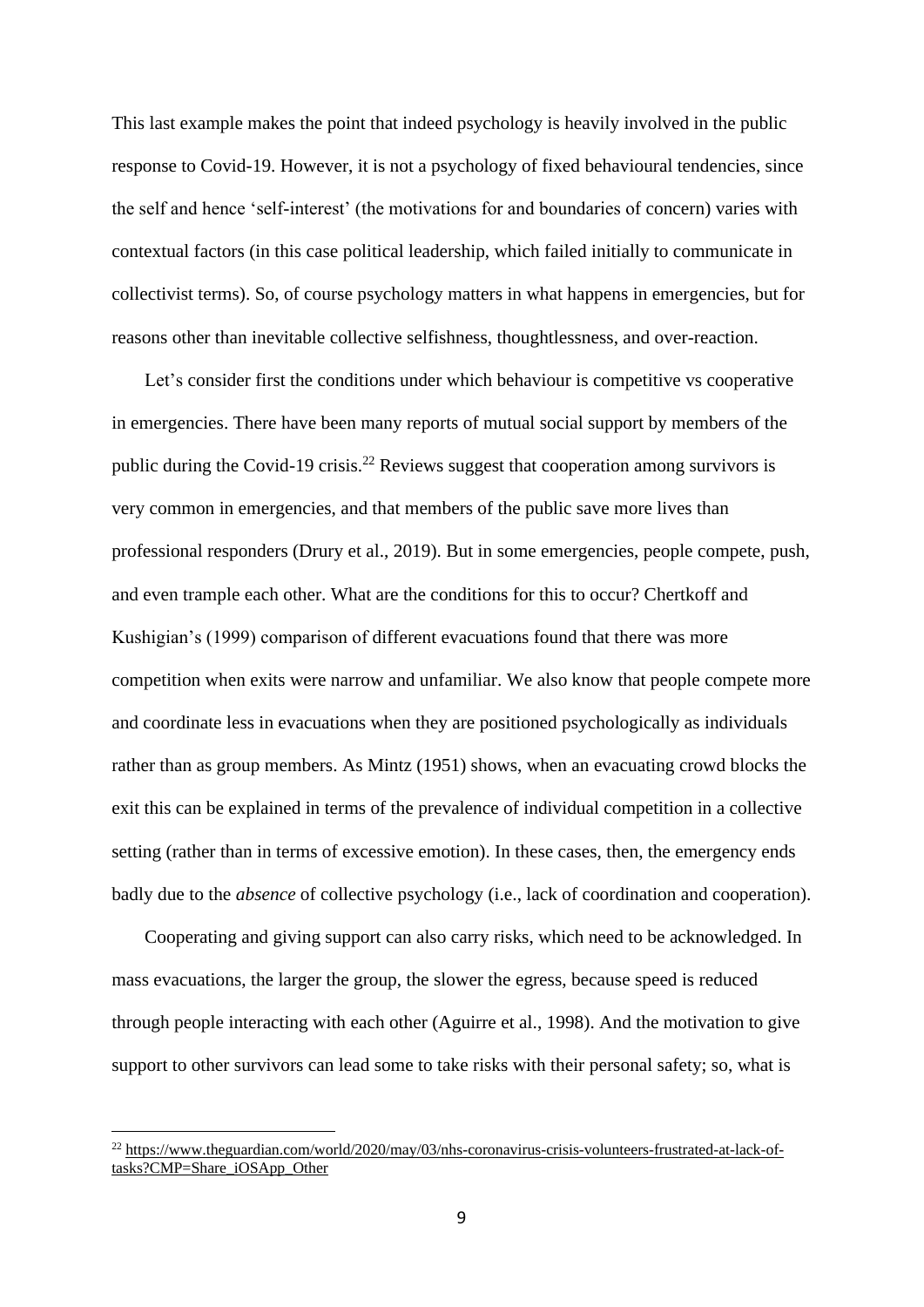This last example makes the point that indeed psychology is heavily involved in the public response to Covid-19. However, it is not a psychology of fixed behavioural tendencies, since the self and hence 'self-interest' (the motivations for and boundaries of concern) varies with contextual factors (in this case political leadership, which failed initially to communicate in collectivist terms). So, of course psychology matters in what happens in emergencies, but for reasons other than inevitable collective selfishness, thoughtlessness, and over-reaction.

Let's consider first the conditions under which behaviour is competitive vs cooperative in emergencies. There have been many reports of mutual social support by members of the public during the Covid-19 crisis.<sup>22</sup> Reviews suggest that cooperation among survivors is very common in emergencies, and that members of the public save more lives than professional responders (Drury et al., 2019). But in some emergencies, people compete, push, and even trample each other. What are the conditions for this to occur? Chertkoff and Kushigian's (1999) comparison of different evacuations found that there was more competition when exits were narrow and unfamiliar. We also know that people compete more and coordinate less in evacuations when they are positioned psychologically as individuals rather than as group members. As Mintz (1951) shows, when an evacuating crowd blocks the exit this can be explained in terms of the prevalence of individual competition in a collective setting (rather than in terms of excessive emotion). In these cases, then, the emergency ends badly due to the *absence* of collective psychology (i.e., lack of coordination and cooperation).

Cooperating and giving support can also carry risks, which need to be acknowledged. In mass evacuations, the larger the group, the slower the egress, because speed is reduced through people interacting with each other (Aguirre et al., 1998). And the motivation to give support to other survivors can lead some to take risks with their personal safety; so, what is

<sup>22</sup> [https://www.theguardian.com/world/2020/may/03/nhs-coronavirus-crisis-volunteers-frustrated-at-lack-of](https://www.theguardian.com/world/2020/may/03/nhs-coronavirus-crisis-volunteers-frustrated-at-lack-of-tasks?CMP=Share_iOSApp_Other)[tasks?CMP=Share\\_iOSApp\\_Other](https://www.theguardian.com/world/2020/may/03/nhs-coronavirus-crisis-volunteers-frustrated-at-lack-of-tasks?CMP=Share_iOSApp_Other)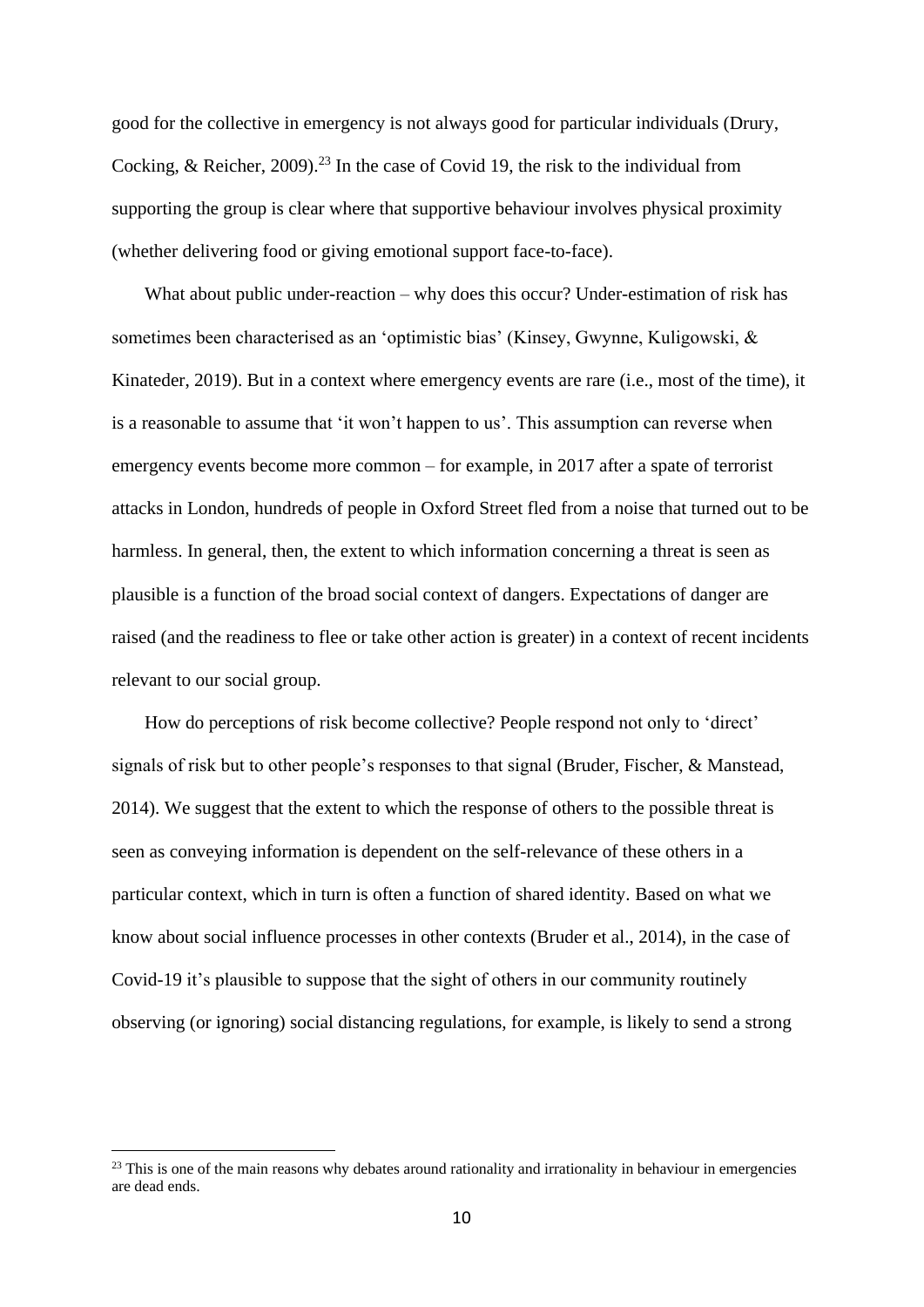good for the collective in emergency is not always good for particular individuals (Drury, Cocking, & Reicher, 2009).<sup>23</sup> In the case of Covid 19, the risk to the individual from supporting the group is clear where that supportive behaviour involves physical proximity (whether delivering food or giving emotional support face-to-face).

What about public under-reaction – why does this occur? Under-estimation of risk has sometimes been characterised as an 'optimistic bias' (Kinsey, Gwynne, Kuligowski, & Kinateder, 2019). But in a context where emergency events are rare (i.e., most of the time), it is a reasonable to assume that 'it won't happen to us'. This assumption can reverse when emergency events become more common – for example, in 2017 after a spate of terrorist attacks in London, hundreds of people in Oxford Street fled from a noise that turned out to be harmless. In general, then, the extent to which information concerning a threat is seen as plausible is a function of the broad social context of dangers. Expectations of danger are raised (and the readiness to flee or take other action is greater) in a context of recent incidents relevant to our social group.

How do perceptions of risk become collective? People respond not only to 'direct' signals of risk but to other people's responses to that signal (Bruder, Fischer, & Manstead, 2014). We suggest that the extent to which the response of others to the possible threat is seen as conveying information is dependent on the self-relevance of these others in a particular context, which in turn is often a function of shared identity. Based on what we know about social influence processes in other contexts (Bruder et al., 2014), in the case of Covid-19 it's plausible to suppose that the sight of others in our community routinely observing (or ignoring) social distancing regulations, for example, is likely to send a strong

 $23$  This is one of the main reasons why debates around rationality and irrationality in behaviour in emergencies are dead ends.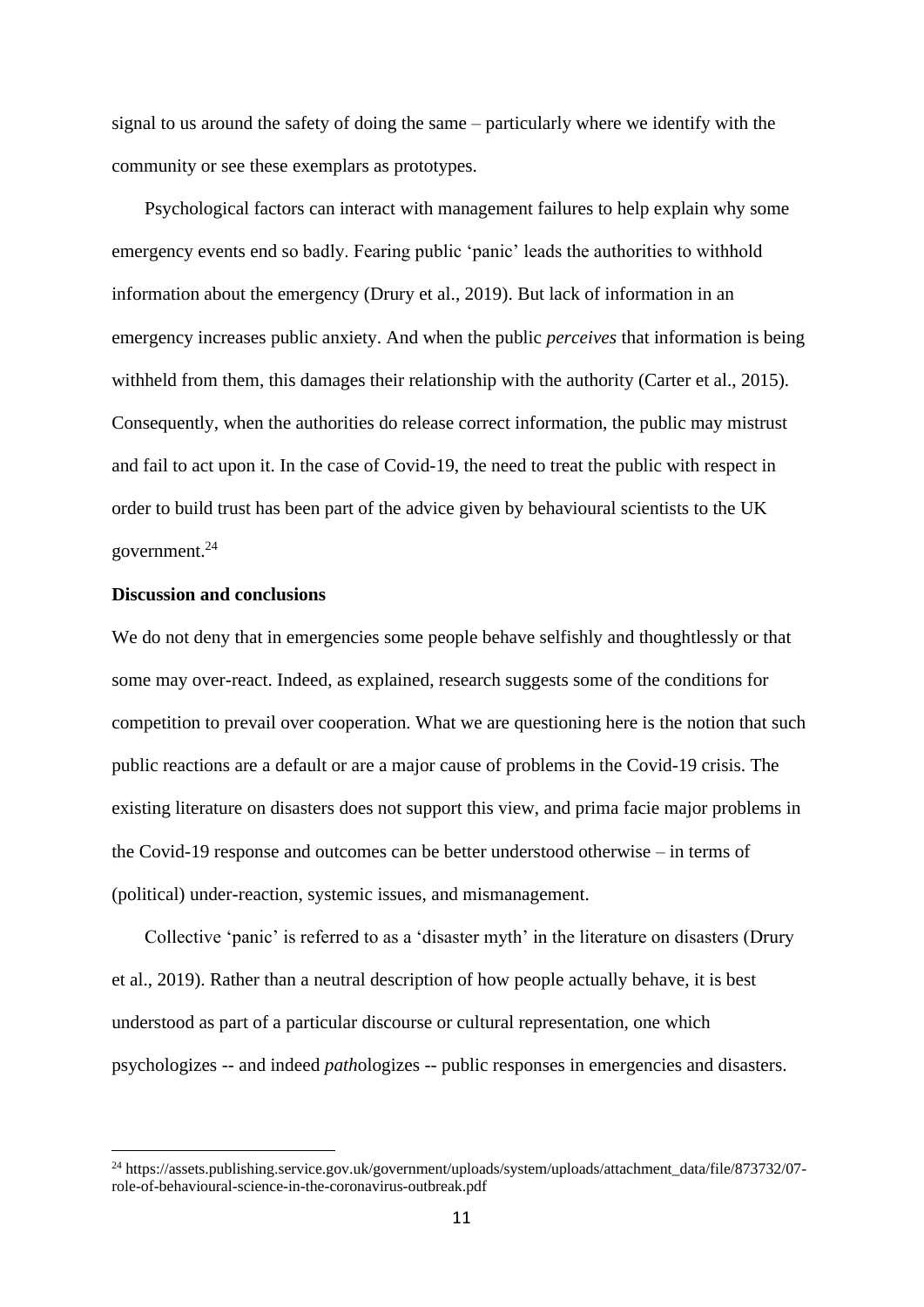signal to us around the safety of doing the same – particularly where we identify with the community or see these exemplars as prototypes.

Psychological factors can interact with management failures to help explain why some emergency events end so badly. Fearing public 'panic' leads the authorities to withhold information about the emergency (Drury et al., 2019). But lack of information in an emergency increases public anxiety. And when the public *perceives* that information is being withheld from them, this damages their relationship with the authority (Carter et al., 2015). Consequently, when the authorities do release correct information, the public may mistrust and fail to act upon it. In the case of Covid-19, the need to treat the public with respect in order to build trust has been part of the advice given by behavioural scientists to the UK government.<sup>24</sup>

### **Discussion and conclusions**

We do not deny that in emergencies some people behave selfishly and thoughtlessly or that some may over-react. Indeed, as explained, research suggests some of the conditions for competition to prevail over cooperation. What we are questioning here is the notion that such public reactions are a default or are a major cause of problems in the Covid-19 crisis. The existing literature on disasters does not support this view, and prima facie major problems in the Covid-19 response and outcomes can be better understood otherwise – in terms of (political) under-reaction, systemic issues, and mismanagement.

Collective 'panic' is referred to as a 'disaster myth' in the literature on disasters (Drury et al., 2019). Rather than a neutral description of how people actually behave, it is best understood as part of a particular discourse or cultural representation, one which psychologizes -- and indeed *path*ologizes -- public responses in emergencies and disasters.

<sup>&</sup>lt;sup>24</sup> https://assets.publishing.service.gov.uk/government/uploads/system/uploads/attachment\_data/file/873732/07role-of-behavioural-science-in-the-coronavirus-outbreak.pdf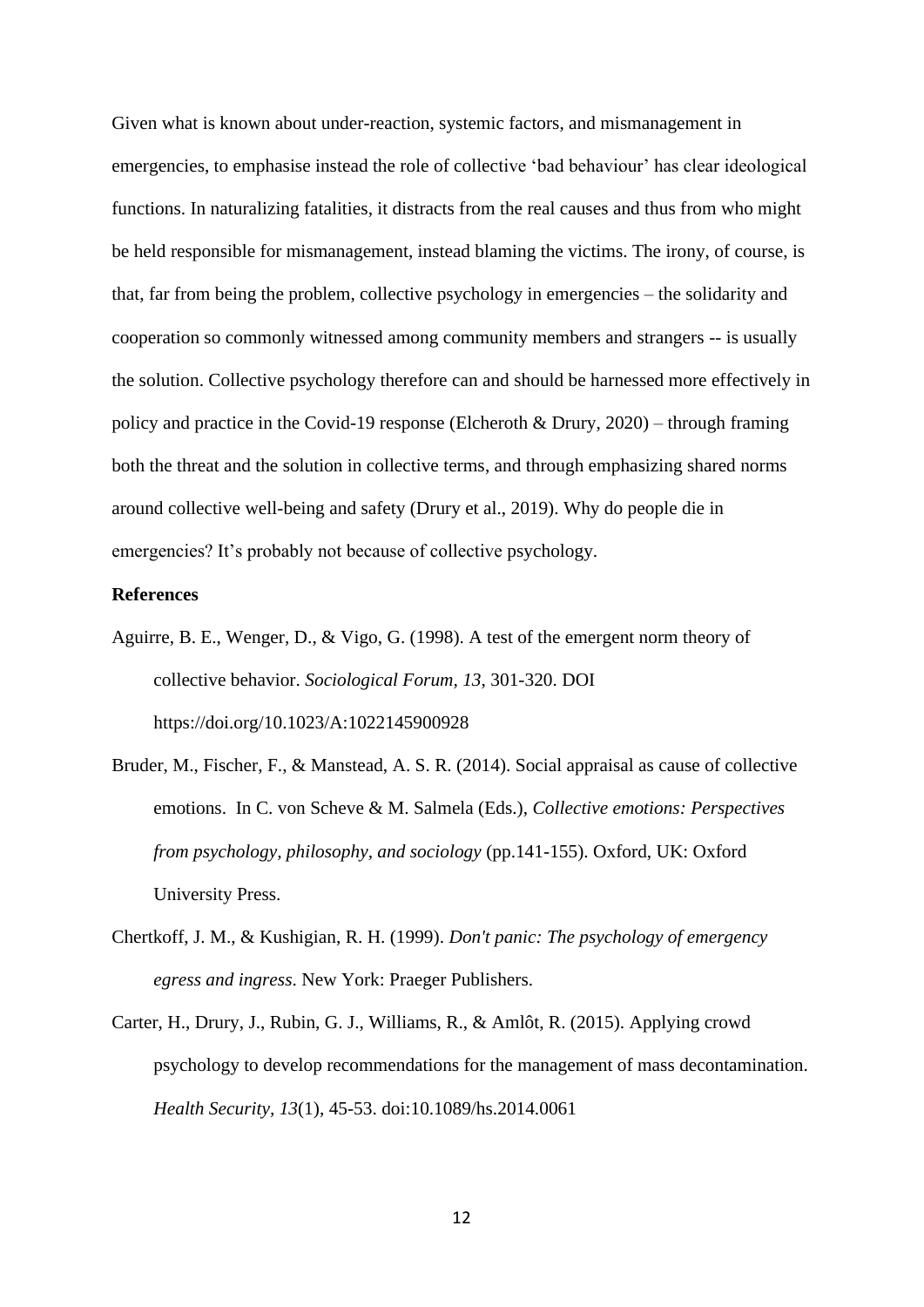Given what is known about under-reaction, systemic factors, and mismanagement in emergencies, to emphasise instead the role of collective 'bad behaviour' has clear ideological functions. In naturalizing fatalities, it distracts from the real causes and thus from who might be held responsible for mismanagement, instead blaming the victims. The irony, of course, is that, far from being the problem, collective psychology in emergencies – the solidarity and cooperation so commonly witnessed among community members and strangers -- is usually the solution. Collective psychology therefore can and should be harnessed more effectively in policy and practice in the Covid-19 response (Elcheroth & Drury, 2020) – through framing both the threat and the solution in collective terms, and through emphasizing shared norms around collective well-being and safety (Drury et al., 2019). Why do people die in emergencies? It's probably not because of collective psychology.

#### **References**

- Aguirre, B. E., Wenger, D., & Vigo, G. (1998). A test of the emergent norm theory of collective behavior. *Sociological Forum, 13*, 301-320. DOI https://doi.org/10.1023/A:1022145900928
- Bruder, M., Fischer, F., & Manstead, A. S. R. (2014). Social appraisal as cause of collective emotions. In C. von Scheve & M. Salmela (Eds.), *Collective emotions: Perspectives from psychology, philosophy, and sociology* (pp.141-155). Oxford, UK: Oxford University Press.
- Chertkoff, J. M., & Kushigian, R. H. (1999). *Don't panic: The psychology of emergency egress and ingress*. New York: Praeger Publishers.
- Carter, H., Drury, J., Rubin, G. J., Williams, R., & Amlôt, R. (2015). Applying crowd psychology to develop recommendations for the management of mass decontamination. *Health Security, 13*(1), 45-53. doi:10.1089/hs.2014.0061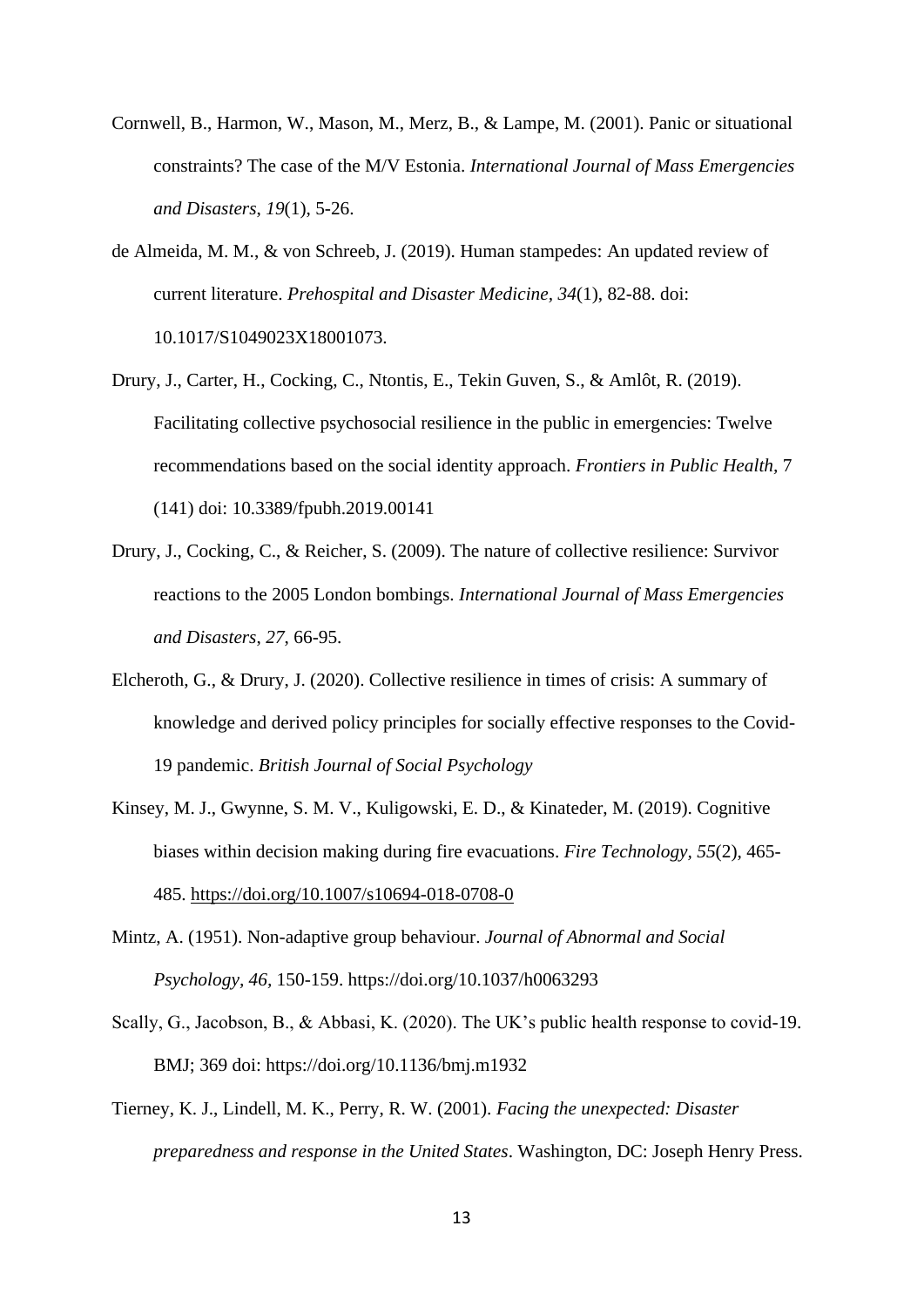- Cornwell, B., Harmon, W., Mason, M., Merz, B., & Lampe, M. (2001). Panic or situational constraints? The case of the M/V Estonia. *International Journal of Mass Emergencies and Disasters*, *19*(1), 5-26.
- de Almeida, M. M., & von Schreeb, J. (2019). Human stampedes: An updated review of current literature. *Prehospital and Disaster Medicine, 34*(1), 82-88. doi: 10.1017/S1049023X18001073.
- Drury, J., Carter, H., Cocking, C., Ntontis, E., Tekin Guven, S., & Amlôt, R. (2019). Facilitating collective psychosocial resilience in the public in emergencies: Twelve recommendations based on the social identity approach. *Frontiers in Public Health,* 7 (141) doi: 10.3389/fpubh.2019.00141
- Drury, J., Cocking, C., & Reicher, S. (2009). The nature of collective resilience: Survivor reactions to the 2005 London bombings. *International Journal of Mass Emergencies and Disasters*, *27*, 66-95.
- Elcheroth, G., & Drury, J. (2020). Collective resilience in times of crisis: A summary of knowledge and derived policy principles for socially effective responses to the Covid-19 pandemic. *British Journal of Social Psychology*
- Kinsey, M. J., Gwynne, S. M. V., Kuligowski, E. D., & Kinateder, M. (2019). Cognitive biases within decision making during fire evacuations. *Fire Technology, 55*(2), 465- 485. <https://doi.org/10.1007/s10694-018-0708-0>
- Mintz, A. (1951). Non-adaptive group behaviour. *Journal of Abnormal and Social Psychology, 46,* 150-159. https://doi.org/10.1037/h0063293
- Scally, G., Jacobson, B., & Abbasi, K. (2020). The UK's public health response to covid-19. BMJ; 369 doi: https://doi.org/10.1136/bmj.m1932
- Tierney, K. J., Lindell, M. K., Perry, R. W. (2001). *Facing the unexpected: Disaster preparedness and response in the United States*. Washington, DC: Joseph Henry Press.